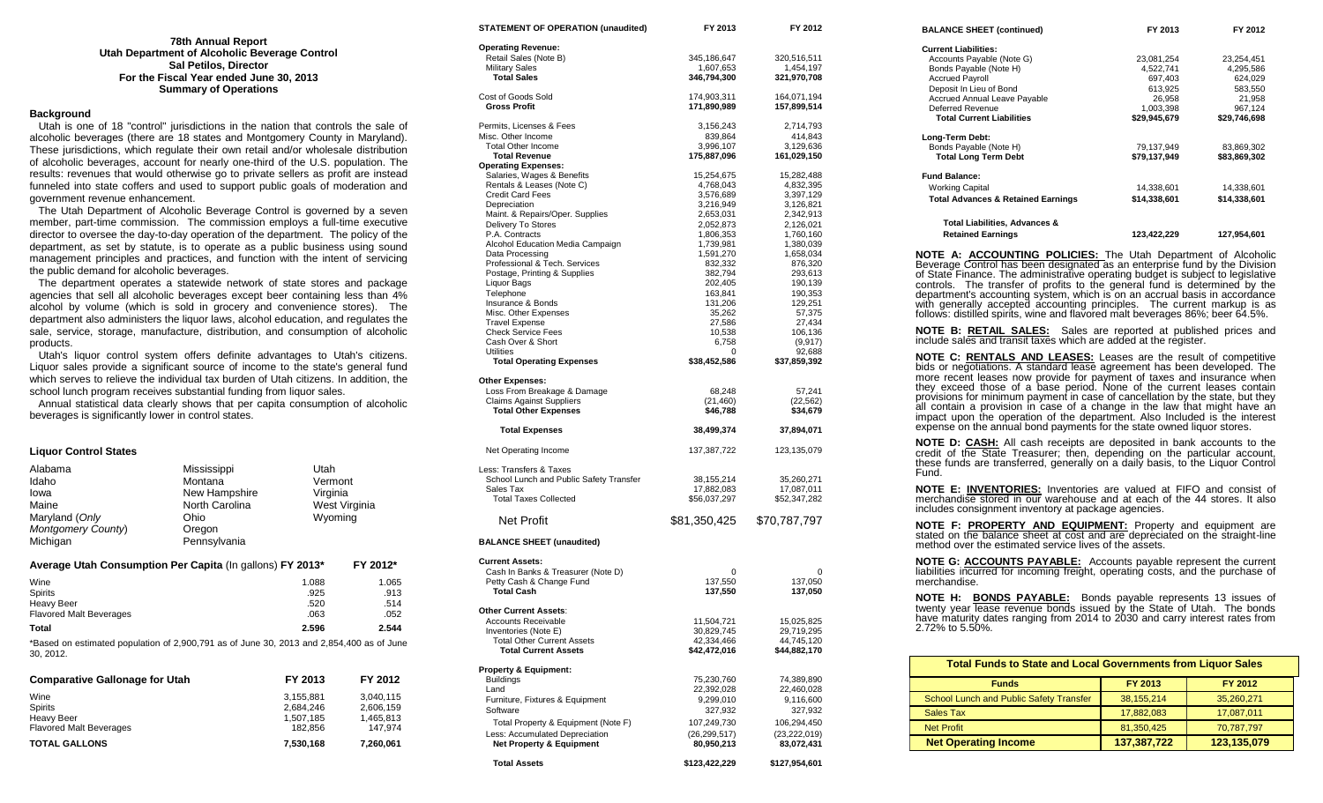| <b>78th Annual Report</b>                     |
|-----------------------------------------------|
| Utah Department of Alcoholic Beverage Control |
| <b>Sal Petilos, Director</b>                  |
| For the Fiscal Year ended June 30, 2013       |
| <b>Summary of Operations</b>                  |

#### **Background**

 Utah is one of 18 "control" jurisdictions in the nation that controls the sale of alcoholic beverages (there are 18 states and Montgomery County in Maryland). These jurisdictions, which regulate their own retail and/or wholesale distribution of alcoholic beverages, account for nearly one-third of the U.S. population. The results: revenues that would otherwise go to private sellers as profit are instead funneled into state coffers and used to support public goals of moderation and government revenue enhancement.

 The Utah Department of Alcoholic Beverage Control is governed by a seven member, part-time commission. The commission employs a full-time executive director to oversee the day-to-day operation of the department. The policy of the department, as set by statute, is to operate as a public business using sound management principles and practices, and function with the intent of servicing the public demand for alcoholic beverages.

 The department operates a statewide network of state stores and package agencies that sell all alcoholic beverages except beer containing less than 4% alcohol by volume (which is sold in grocery and convenience stores). The department also administers the liquor laws, alcohol education, and regulates the sale, service, storage, manufacture, distribution, and consumption of alcoholic products.

 Utah's liquor control system offers definite advantages to Utah's citizens. Liquor sales provide a significant source of income to the state's general fund which serves to relieve the individual tax burden of Utah citizens. In addition, the school lunch program receives substantial funding from liquor sales.

 Annual statistical data clearly shows that per capita consumption of alcoholic beverages is significantly lower in control states.

## **Liquor Control States**

| Alabama<br>Idaho<br>lowa<br>Maine<br>Maryland (Only<br>Montgomery County)<br>Michigan                 | Mississippi<br>Montana<br>New Hampshire<br>North Carolina<br>Ohio<br>Oregon<br>Pennsylvania | Utah<br>Vermont<br>Virginia<br>West Virginia<br>Wyoming |                               |
|-------------------------------------------------------------------------------------------------------|---------------------------------------------------------------------------------------------|---------------------------------------------------------|-------------------------------|
| Average Utah Consumption Per Capita (In gallons) FY 2013*<br>FY 2012*                                 |                                                                                             |                                                         |                               |
| Wine<br>Spirits<br><b>Heavy Beer</b><br><b>Flavored Malt Beverages</b>                                |                                                                                             | 1.088<br>.925<br>.520<br>.063                           | 1.065<br>.913<br>.514<br>.052 |
| <b>Total</b>                                                                                          |                                                                                             | 2.596                                                   | 2.544                         |
| *Based on estimated population of 2,900,791 as of June 30, 2013 and 2,854,400 as of June<br>30, 2012. |                                                                                             |                                                         |                               |

| <b>Comparative Gallonage for Utah</b> | FY 2013   | FY 2012   |
|---------------------------------------|-----------|-----------|
| Wine                                  | 3.155.881 | 3.040.115 |
| <b>Spirits</b>                        | 2.684.246 | 2.606.159 |
| Heavy Beer                            | 1.507.185 | 1,465,813 |
| <b>Flavored Malt Beverages</b>        | 182.856   | 147.974   |
| <b>TOTAL GALLONS</b>                  | 7.530.168 | 7,260,061 |

| STATEMENT OF OPERATION (unaudited)                  | FY 2013                | FY 2012                  |
|-----------------------------------------------------|------------------------|--------------------------|
| <b>Operating Revenue:</b>                           |                        |                          |
| Retail Sales (Note B)                               | 345,186,647            | 320,516,511              |
| <b>Military Sales</b>                               | 1,607,653              | 1,454,197                |
| <b>Total Sales</b>                                  | 346,794,300            | 321,970,708              |
| Cost of Goods Sold                                  | 174,903,311            | 164,071,194              |
| <b>Gross Profit</b>                                 | 171,890,989            | 157,899,514              |
| Permits, Licenses & Fees                            | 3,156,243              | 2,714,793                |
| Misc. Other Income                                  | 839,864                | 414,843                  |
| <b>Total Other Income</b><br><b>Total Revenue</b>   | 3,996,107              | 3,129,636<br>161,029,150 |
| <b>Operating Expenses:</b>                          | 175,887,096            |                          |
| Salaries, Wages & Benefits                          | 15,254,675             | 15,282,488               |
| Rentals & Leases (Note C)                           | 4,768,043              | 4,832,395                |
| <b>Credit Card Fees</b>                             | 3,576,689              | 3,397,129                |
| Depreciation                                        | 3,216,949              | 3,126,821                |
| Maint. & Repairs/Oper. Supplies                     | 2,653,031              | 2,342,913                |
| Delivery To Stores<br>P.A. Contracts                | 2,052,873<br>1,806,353 | 2,126,021                |
| Alcohol Education Media Campaign                    | 1,739,981              | 1,760,160<br>1,380,039   |
| Data Processing                                     | 1,591,270              | 1,658,034                |
| Professional & Tech. Services                       | 832,332                | 876,320                  |
| Postage, Printing & Supplies                        | 382,794                | 293,613                  |
| Liquor Bags                                         | 202,405                | 190,139                  |
| Telephone<br>Insurance & Bonds                      | 163,841<br>131,206     | 190,353                  |
| Misc. Other Expenses                                | 35,262                 | 129,251<br>57,375        |
| <b>Travel Expense</b>                               | 27,586                 | 27,434                   |
| <b>Check Service Fees</b>                           | 10,538                 | 106,136                  |
| Cash Over & Short                                   | 6,758                  | (9, 917)                 |
| <b>Utilities</b>                                    | 0                      | 92,688                   |
| <b>Total Operating Expenses</b>                     | \$38,452,586           | \$37,859,392             |
| Other Expenses:                                     |                        |                          |
| Loss From Breakage & Damage                         | 68,248                 | 57,241                   |
| <b>Claims Against Suppliers</b>                     | (21, 460)              | (22, 562)                |
| <b>Total Other Expenses</b>                         | \$46,788               | \$34,679                 |
| <b>Total Expenses</b>                               | 38,499,374             | 37,894,071               |
| Net Operating Income                                | 137,387,722            | 123,135,079              |
| Less: Transfers & Taxes                             |                        |                          |
| School Lunch and Public Safety Transfer             | 38,155,214             | 35,260,271               |
| Sales Tax                                           | 17,882,083             | 17,087,011               |
| <b>Total Taxes Collected</b>                        | \$56,037,297           | \$52,347,282             |
| Net Profit                                          | \$81,350,425           | \$70,787,797             |
| <b>BALANCE SHEET (unaudited)</b>                    |                        |                          |
| <b>Current Assets:</b>                              |                        |                          |
| Cash In Banks & Treasurer (Note D)                  | 0                      | $\Omega$                 |
| Petty Cash & Change Fund                            | 137,550                | 137,050                  |
| <b>Total Cash</b>                                   | 137,550                | 137,050                  |
|                                                     |                        |                          |
| Other Current Assets:<br><b>Accounts Receivable</b> | 11,504,721             | 15,025,825               |
| Inventories (Note E)                                | 30,829,745             | 29,719,295               |
| <b>Total Other Current Assets</b>                   | 42,334,466             | 44,745,120               |
| <b>Total Current Assets</b>                         | \$42,472,016           | \$44,882,170             |
| <b>Property &amp; Equipment:</b>                    |                        |                          |
| <b>Buildings</b>                                    | 75,230,760             | 74,389,890               |
| Land                                                | 22,392,028             | 22,460,028               |
| Furniture, Fixtures & Equipment                     | 9,299,010              | 9,116,600                |
| Software                                            | 327,932                | 327,932                  |
| Total Property & Equipment (Note F)                 | 107,249,730            | 106,294,450              |
| Less: Accumulated Depreciation                      | (26, 299, 517)         | (23, 222, 019)           |
| <b>Net Property &amp; Equipment</b>                 | 80,950,213             | 83,072,431               |
| <b>Total Assets</b>                                 | \$123,422,229          | \$127,954,601            |

| <b>BALANCE SHEET (continued)</b>                                                                                                                                                                                                                                                                                                                                                                                                                                                                                                                                                                                       | FY 2013 <b>EXECUTE:</b>          | FY 2012                               |
|------------------------------------------------------------------------------------------------------------------------------------------------------------------------------------------------------------------------------------------------------------------------------------------------------------------------------------------------------------------------------------------------------------------------------------------------------------------------------------------------------------------------------------------------------------------------------------------------------------------------|----------------------------------|---------------------------------------|
| <b>Current Liabilities:</b><br>Accounts Payable (Note G)                                                                                                                                                                                                                                                                                                                                                                                                                                                                                                                                                               | 23,081,254                       | 23,254,451                            |
| Bonds Payable (Note H)<br><b>Accrued Payroll</b>                                                                                                                                                                                                                                                                                                                                                                                                                                                                                                                                                                       | 4,522,741<br>697,403             | 4,295,586<br>624,029                  |
| Deposit In Lieu of Bond<br>Accrued Annual Leave Payable                                                                                                                                                                                                                                                                                                                                                                                                                                                                                                                                                                | 613,925<br>26,958                | 583,550<br>21,958                     |
| Deferred Revenue<br><b>Total Current Liabilities</b>                                                                                                                                                                                                                                                                                                                                                                                                                                                                                                                                                                   | 1,003,398<br><b>\$29,945,679</b> | بيت<br>967,124<br><b>\$29,746,698</b> |
| Long-Term Debt:                                                                                                                                                                                                                                                                                                                                                                                                                                                                                                                                                                                                        |                                  |                                       |
| Bonds Payable (Note H)<br><b>Total Long Term Debt</b>                                                                                                                                                                                                                                                                                                                                                                                                                                                                                                                                                                  | 79,137,949<br>\$79,137,949       | 83,869,302<br>\$83,869,302            |
| <b>Fund Balance:</b>                                                                                                                                                                                                                                                                                                                                                                                                                                                                                                                                                                                                   |                                  |                                       |
| <b>Working Capital</b><br><b>Total Advances &amp; Retained Earnings</b>                                                                                                                                                                                                                                                                                                                                                                                                                                                                                                                                                | 14,338,601<br>\$14,338,601       | 14,338,601<br>\$14,338,601            |
|                                                                                                                                                                                                                                                                                                                                                                                                                                                                                                                                                                                                                        |                                  |                                       |
| Total Liabilities, Advances &<br><b>Retained Earnings</b>                                                                                                                                                                                                                                                                                                                                                                                                                                                                                                                                                              | 123,422,229                      | 127,954,601                           |
| <b>NOTE A: ACCOUNTING POLICIES:</b> The Utah Department of Alcoholic<br>Beverage Control has been designated as an enterprise fund by the Division<br>of State Finance. The administrative operating budget is subject to legislative<br>The transfer of profits to the general fund is determined by the<br>controls.<br>department's accounting system, which is on an accrual basis in accordance<br>with generally accepted accounting principles. The current markup is as<br>follows: distilled spirits, wine and flavored malt beverages 86%; beer 64.5%.                                                       |                                  |                                       |
| <b>NOTE B: RETAIL SALES:</b> Sales are reported at published prices and<br>include sales and transit taxes which are added at the register.                                                                                                                                                                                                                                                                                                                                                                                                                                                                            |                                  |                                       |
| NOTE C: RENTALS AND LEASES: Leases are the result of competitive<br>bids or negotiations. A standard lease agreement has been developed. The<br>more recent leases now provide for payment of taxes and insurance when<br>they exceed those of a base period. None of the current leases contain<br>provisions for minimum payment in case of cancellation by the state, but they<br>all contain a provision in case of a change in the law that might have an<br>impact upon the operation of the department. Also Included is the interest<br>expense on the annual bond payments for the state owned liquor stores. |                                  |                                       |
| <b>NOTE D: CASH:</b> All cash receipts are deposited in bank accounts to the<br>credit of the State Treasurer, then, depending on the particular account,<br>these funds are transferred, generally on a daily basis, to the Liquor Control<br>Fund.                                                                                                                                                                                                                                                                                                                                                                   |                                  |                                       |
| NOTE E: INVENTORIES: Inventories are valued at FIFO and consist of<br>merchandise stored in our warehouse and at each of the 44 stores. It also<br>includes consignment inventory at package agencies.                                                                                                                                                                                                                                                                                                                                                                                                                 |                                  |                                       |
| NOTE F: PROPERTY AND EQUIPMENT: Property and equipment are<br>stated on the balance sheet at cost and are depreciated on the straight-line<br>method over the estimated service lives of the assets.                                                                                                                                                                                                                                                                                                                                                                                                                   |                                  |                                       |
| <b>NOTE G: ACCOUNTS PAYABLE:</b> Accounts payable represent the current<br>liabilities incurred for incoming freight, operating costs, and the purchase of<br>merchandise.                                                                                                                                                                                                                                                                                                                                                                                                                                             |                                  |                                       |
| <b>NOTE H: BONDS PAYABLE:</b> Bonds payable represents 13 issues of twenty year lease revenue bonds issued by the State of Utah. The bonds<br>have maturity dates ranging from 2014 to 2030 and carry interest rates from                                                                                                                                                                                                                                                                                                                                                                                              |                                  |                                       |

| <b>Total Funds to State and Local Governments from Liquor Sales</b> |              |             |
|---------------------------------------------------------------------|--------------|-------------|
| <b>Funds</b>                                                        | FY 2013      | FY 2012     |
| School Lunch and Public Safety Transfer                             | 38, 155, 214 | 35,260,271  |
| Sales Tax                                                           | 17,882,083   | 17,087,011  |
| Net Profit                                                          | 81,350,425   | 70,787,797  |
| <b>Net Operating Income</b>                                         | 137,387,722  | 123,135,079 |

2.72% to 5.50%.